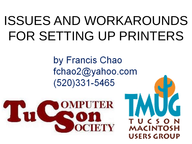## ISSUES AND WORKAROUNDS FOR SETTING UP PRINTERS

by Francis Chao fchao2@yahoo.com  $(520)331 - 5465$ 



MACINT( **SERS GROUP**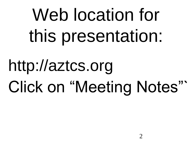# Web location for this presentation:

# http://aztcs.org Click on "Meeting Notes"`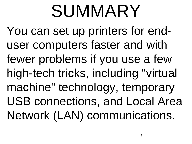# SUMMARY

You can set up printers for enduser computers faster and with fewer problems if you use a few high-tech tricks, including "virtual machine" technology, temporary USB connections, and Local Area Network (LAN) communications.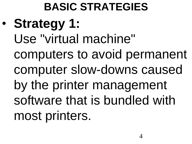**BASIC STRATEGIES** • **Strategy 1:** Use "virtual machine" computers to avoid permanent computer slow-downs caused by the printer management software that is bundled with most printers.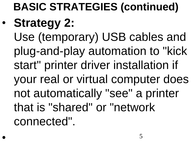## **BASIC STRATEGIES (continued)** • **Strategy 2:**

Use (temporary) USB cables and plug-and-play automation to "kick start" printer driver installation if your real or virtual computer does not automatically "see" a printer that is "shared" or "network connected".

•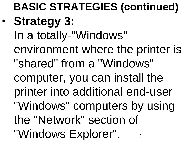6 **BASIC STRATEGIES (continued)** • **Strategy 3:** In a totally-"Windows" environment where the printer is "shared" from a "Windows" computer, you can install the printer into additional end-user "Windows" computers by using the "Network" section of "Windows Explorer".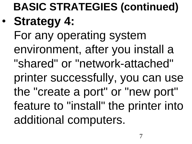## **BASIC STRATEGIES (continued)** • **Strategy 4:** For any operating system environment, after you install a "shared" or "network-attached" printer successfully, you can use the "create a port" or "new port"

feature to "install" the printer into additional computers.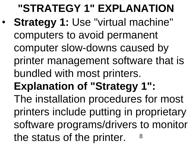8 **"STRATEGY 1" EXPLANATION**  • **Strategy 1:** Use "virtual machine" computers to avoid permanent computer slow-downs caused by printer management software that is bundled with most printers. **Explanation of "Strategy 1":** The installation procedures for most printers include putting in proprietary software programs/drivers to monitor the status of the printer.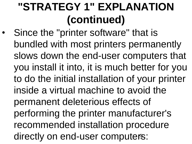directly on end-user computers: Since the "printer software" that is bundled with most printers permanently slows down the end-user computers that you install it into, it is much better for you to do the initial installation of your printer inside a virtual machine to avoid the permanent deleterious effects of performing the printer manufacturer's recommended installation procedure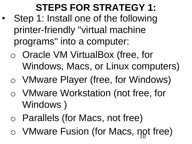#### **STEPS FOR STRATEGY 1:**

- Step 1: Install one of the following printer-friendly "virtual machine programs" into a computer:
	- o Oracle VM VirtualBox (free, for Windows, Macs, or Linux computers)
	- o VMware Player (free, for Windows)
	- o VMware Workstation (not free, for Windows )
	- o Parallels (for Macs, not free)
	- 10 o VMware Fusion (for Macs, not free)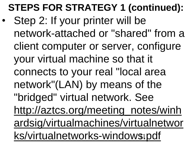## **STEPS FOR STRATEGY 1 (continued):**

[ks/virtualnetworks-windows.pdf](http://aztcs.org/meeting_notes/winhardsig/virtualmachines/virtualnetworks/virtualnetworks-windows.pdf) • Step 2: If your printer will be network-attached or "shared" from a client computer or server, configure your virtual machine so that it connects to your real "local area network"(LAN) by means of the "bridged" virtual network. See [http://aztcs.org/meeting\\_notes/winh](http://aztcs.org/meeting_notes/winhardsig/virtualmachines/virtualnetworks/virtualnetworks-windows.pdf) [ardsig/virtualmachines/virtualnetwor](http://aztcs.org/meeting_notes/winhardsig/virtualmachines/virtualnetworks/virtualnetworks-windows.pdf)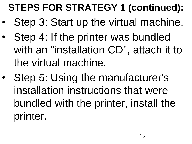## **STEPS FOR STRATEGY 1 (continued):**

- Step 3: Start up the virtual machine.
- Step 4: If the printer was bundled with an "installation CD", attach it to the virtual machine.
- Step 5: Using the manufacturer's installation instructions that were bundled with the printer, install the printer.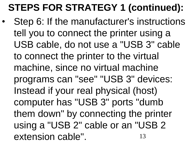## **STEPS FOR STRATEGY 1 (continued):**

13 Step 6: If the manufacturer's instructions tell you to connect the printer using a USB cable, do not use a "USB 3" cable to connect the printer to the virtual machine, since no virtual machine programs can "see" "USB 3" devices: Instead if your real physical (host) computer has "USB 3" ports "dumb them down" by connecting the printer using a "USB 2" cable or an "USB 2 extension cable".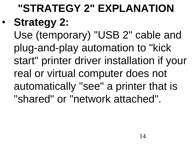## **"STRATEGY 2" EXPLANATION**  • **Strategy 2:**

Use (temporary) "USB 2" cable and plug-and-play automation to "kick start" printer driver installation if your real or virtual computer does not automatically "see" a printer that is "shared" or "network attached".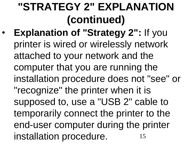15 • **Explanation of "Strategy 2":** If you printer is wired or wirelessly network attached to your network and the computer that you are running the installation procedure does not "see" or "recognize" the printer when it is supposed to, use a "USB 2" cable to temporarily connect the printer to the end-user computer during the printer installation procedure.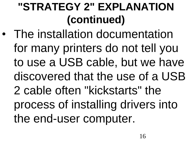• The installation documentation for many printers do not tell you to use a USB cable, but we have discovered that the use of a USB 2 cable often "kickstarts" the process of installing drivers into the end-user computer.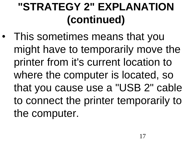• This sometimes means that you might have to temporarily move the printer from it's current location to where the computer is located, so that you cause use a "USB 2" cable to connect the printer temporarily to the computer.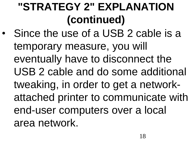Since the use of a USB 2 cable is a temporary measure, you will eventually have to disconnect the USB 2 cable and do some additional tweaking, in order to get a networkattached printer to communicate with end-user computers over a local area network.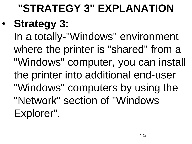## **"STRATEGY 3" EXPLANATION**

## • **Strategy 3:**

In a totally-"Windows" environment where the printer is "shared" from a "Windows" computer, you can install the printer into additional end-user "Windows" computers by using the "Network" section of "Windows Explorer".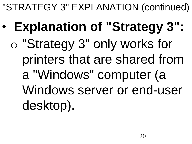- **Explanation of "Strategy 3":**
	- o "Strategy 3" only works for printers that are shared from a "Windows" computer (a Windows server or end-user desktop).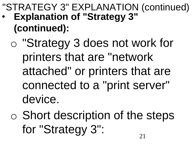- **Explanation of "Strategy 3" (continued):**
	- o "Strategy 3 does not work for printers that are "network attached" or printers that are connected to a "print server" device.
	- o Short description of the steps for "Strategy 3":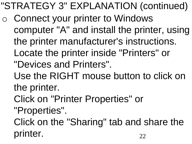- o Connect your printer to Windows computer "A" and install the printer, using the printer manufacturer's instructions. Locate the printer inside "Printers" or "Devices and Printers".
	- Use the RIGHT mouse button to click on the printer.
	- Click on "Printer Properties" or
	- "Properties".
	- 22 Click on the "Sharing" tab and share the printer.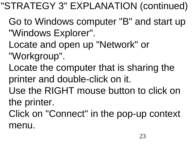- Go to Windows computer "B" and start up "Windows Explorer".
- Locate and open up "Network" or
- "Workgroup".
- Locate the computer that is sharing the printer and double-click on it.
- Use the RIGHT mouse button to click on the printer.
- Click on "Connect" in the pop-up context menu.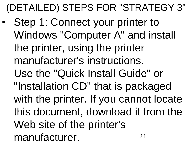$74$ Step 1: Connect your printer to Windows "Computer A" and install the printer, using the printer manufacturer's instructions. Use the "Quick Install Guide" or "Installation CD" that is packaged with the printer. If you cannot locate this document, download it from the Web site of the printer's manufacturer.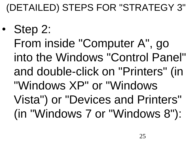• Step 2: From inside "Computer A", go into the Windows "Control Panel" and double-click on "Printers" (in "Windows XP" or "Windows Vista") or "Devices and Printers" (in "Windows 7 or "Windows 8"):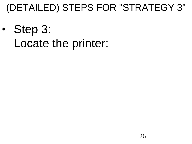• Step 3: Locate the printer: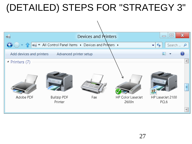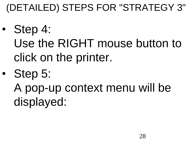- Step 4: Use the RIGHT mouse button to click on the printer.
- Step 5:

A pop-up context menu will be displayed: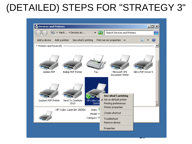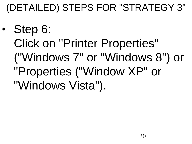• Step 6: Click on "Printer Properties" ("Windows 7" or "Windows 8") or "Properties ("Window XP" or "Windows Vista").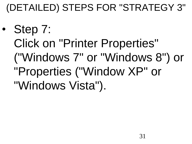• Step 7: Click on "Printer Properties" ("Windows 7" or "Windows 8") or "Properties ("Window XP" or "Windows Vista").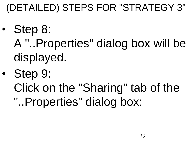- Step 8:
	- A "..Properties" dialog box will be displayed.
- Step 9:
	- Click on the "Sharing" tab of the
	- "..Properties" dialog box: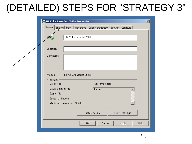| HP Color LaserJet 2600n Properties            |                                                                      | $\vert x \vert$ |
|-----------------------------------------------|----------------------------------------------------------------------|-----------------|
| General                                       | Sharing   Ports   Advanced   Color Management   Security   Configure |                 |
|                                               |                                                                      |                 |
|                                               | HP Color LaserJet 2600n                                              |                 |
|                                               |                                                                      |                 |
| Location:                                     |                                                                      |                 |
| Comment:                                      |                                                                      |                 |
|                                               |                                                                      |                 |
|                                               |                                                                      |                 |
| Model:                                        | HP Color LaserJet 2600n                                              |                 |
| Features <sup>®</sup>                         |                                                                      |                 |
| Color: Yes                                    | Paper available:                                                     |                 |
| Double-sided: Yes                             | Letter<br>车                                                          |                 |
| Staple: No                                    |                                                                      |                 |
| Speed: Unknown<br>Maximum resolution: 600 dpi |                                                                      |                 |
|                                               |                                                                      |                 |
|                                               | Preferences<br>Print Test Page                                       |                 |
|                                               |                                                                      |                 |
|                                               | 0K<br>Cancel<br>Help<br>Apply                                        |                 |
|                                               |                                                                      |                 |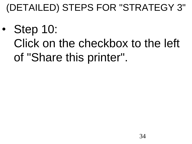• Step 10: Click on the checkbox to the left of "Share this printer".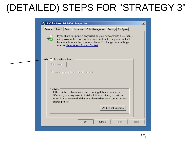| General | Sharing   Ports   Advanced   Color Management   Security   Configure                                                                                                                                              |
|---------|-------------------------------------------------------------------------------------------------------------------------------------------------------------------------------------------------------------------|
|         |                                                                                                                                                                                                                   |
|         | If you share this printer, only users on your network with a username<br>and password for this computer can print to it. The printer will not<br>be available when the computer sleeps. To change these settings, |
|         | use the Network and Sharing Center.                                                                                                                                                                               |
|         |                                                                                                                                                                                                                   |
|         | Share this printer                                                                                                                                                                                                |
|         | Share name:                                                                                                                                                                                                       |
|         | $\triangleright$ Render print jobs on client computers                                                                                                                                                            |
|         |                                                                                                                                                                                                                   |
|         |                                                                                                                                                                                                                   |
|         |                                                                                                                                                                                                                   |
|         | Drivers<br>If this printer is shared with users running different versions of                                                                                                                                     |
|         |                                                                                                                                                                                                                   |
|         | Windows, you may want to install additional drivers, so that the                                                                                                                                                  |
|         | users do not have to find the print driver when they connect to the<br>shared printer.                                                                                                                            |
|         | Additional Drivers                                                                                                                                                                                                |
|         |                                                                                                                                                                                                                   |
|         |                                                                                                                                                                                                                   |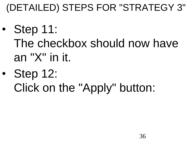- Step 11: The checkbox should now have an "X" in it.
- Step 12: Click on the "Apply" button: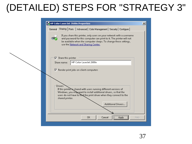| HP Color LaserJet 2600n Properties                                                                                                                                                                                                                       | $\vert x \vert$ |
|----------------------------------------------------------------------------------------------------------------------------------------------------------------------------------------------------------------------------------------------------------|-----------------|
| Sharing   Ports   Advanced   Color Management   Security   Configure  <br>General                                                                                                                                                                        |                 |
| If you share this printer, only users on your network with a username<br>and password for this computer can print to it. The printer will not<br>be available when the computer sleeps. To change these settings,<br>use the Network and Sharing Center. |                 |
| $\nabla$ Share this printer<br>HP Color LaserJet 2600n                                                                                                                                                                                                   |                 |
| Share name:                                                                                                                                                                                                                                              |                 |
| Render print jobs on client computers                                                                                                                                                                                                                    |                 |
| Drivers<br>If this printer is shared with users running different versions of<br>Windows, you maxwant to install additional drivers, so that the<br>users do not have to find the print driver when they connect to the<br>shared printer.               |                 |
| <b>Additional Drivers</b>                                                                                                                                                                                                                                |                 |
|                                                                                                                                                                                                                                                          |                 |
|                                                                                                                                                                                                                                                          |                 |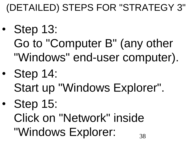- Step 13: Go to "Computer B" (any other "Windows" end-user computer).
- Step 14:
	- Start up "Windows Explorer".
- Step 15:
	- 38 Click on "Network" inside "Windows Explorer: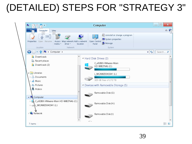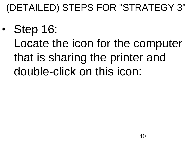• Step 16: Locate the icon for the computer that is sharing the printer and double-click on this icon: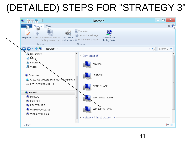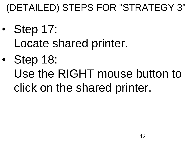- Step 17: Locate shared printer.
- Step 18: Use the RIGHT mouse button to click on the shared printer.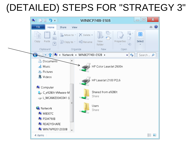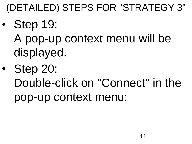- Step 19:
	- A pop-up context menu will be displayed.
- Step 20:
	- Double-click on "Connect" in the pop-up context menu: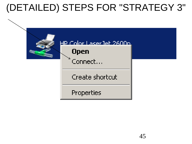

#### <u>HP Color Laser let 2600n.</u>

#### **Open**

Connect...

Create shortcut

Properties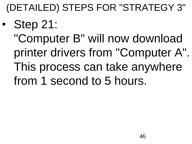- Step 21:
	- "Computer B" will now download printer drivers from "Computer A". This process can take anywhere from 1 second to 5 hours.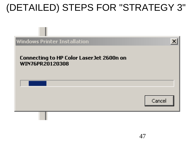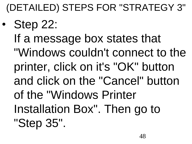- Step 22:
	- If a message box states that "Windows couldn't connect to the printer, click on it's "OK" button and click on the "Cancel" button of the "Windows Printer Installation Box". Then go to "Step 35".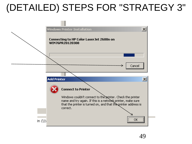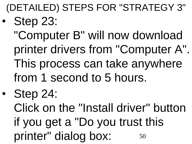**Step 23:** 

"Computer B" will now download printer drivers from "Computer A". This process can take anywhere from 1 second to 5 hours.

• Step 24:

50 Click on the "Install driver" button if you get a "Do you trust this printer" dialog box: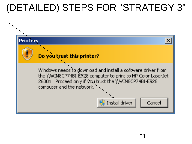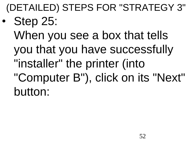• Step 25: When you see a box that tells you that you have successfully "installer" the printer (into "Computer B"), click on its "Next" button: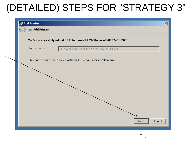| <b>Add Printer</b> |                                                                          |
|--------------------|--------------------------------------------------------------------------|
| <b>Add Printer</b> |                                                                          |
|                    | You've successfully added HP Color LaserJet 2600n on WIN8CP74BI-E928     |
| Printer name:      | HP Color LaserJet 2600n on WIN8CP74BI-E928                               |
|                    | This printer has been installed with the HP Color LaserJet 2600n driver. |
|                    |                                                                          |
|                    |                                                                          |
|                    |                                                                          |
|                    |                                                                          |
|                    |                                                                          |
|                    |                                                                          |
|                    |                                                                          |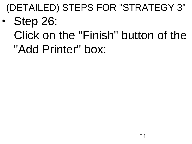- Step 26:
	- Click on the "Finish" button of the "Add Printer" box: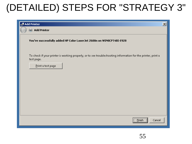| <b>Add Printer</b>                                                                                                         | $\vert x \vert$ |
|----------------------------------------------------------------------------------------------------------------------------|-----------------|
| <b>Replaced</b> Add Printer                                                                                                |                 |
| You've successfully added HP Color LaserJet 2600n on WIN8CP74BI-E928                                                       |                 |
| To check if your printer is working properly, or to see troubleshooting information for the printer, print a<br>test page. |                 |
| Print a test page                                                                                                          |                 |
|                                                                                                                            |                 |
|                                                                                                                            |                 |
|                                                                                                                            |                 |
|                                                                                                                            |                 |
|                                                                                                                            |                 |
| <b>Einish</b><br>Cancel                                                                                                    |                 |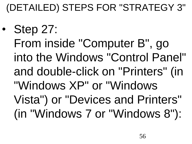• Step 27: From inside "Computer B", go into the Windows "Control Panel" and double-click on "Printers" (in "Windows XP" or "Windows Vista") or "Devices and Printers" (in "Windows 7 or "Windows 8"):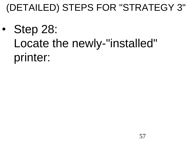• Step 28: Locate the newly-"installed" printer: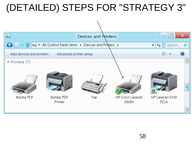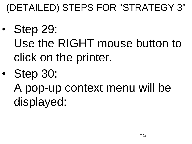- Step 29: Use the RIGHT mouse button to click on the printer.
- Step 30: A pop-up context menu will be displayed: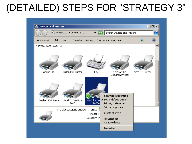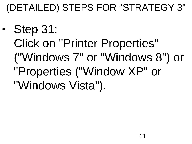• Step 31: Click on "Printer Properties" ("Windows 7" or "Windows 8") or "Properties ("Window XP" or "Windows Vista").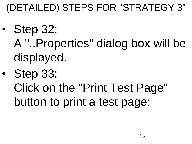- Step 32: A "..Properties" dialog box will be displayed.
- Step 33:
	- Click on the "Print Test Page" button to print a test page: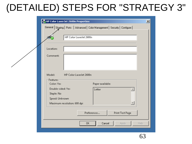|                        | HP Color Laser Jet 2600n Properties                                  | $\vert x \vert$ |
|------------------------|----------------------------------------------------------------------|-----------------|
| General                | Sharing   Ports   Advanced   Color Management   Security   Configure |                 |
|                        |                                                                      |                 |
|                        | HP Color LaserJet 2600n                                              |                 |
|                        |                                                                      |                 |
| Location:              |                                                                      |                 |
| Comment:               |                                                                      |                 |
|                        |                                                                      |                 |
|                        |                                                                      |                 |
| Model:                 | HP Color LaserJet 2600n                                              |                 |
| -Features <sup>-</sup> |                                                                      |                 |
| Color: Yes             | Paper available:                                                     |                 |
| Double-sided: Yes      | Letter<br>巫                                                          |                 |
| Staple: No             |                                                                      |                 |
| Speed: Unknown         | Maximum resolution: 600 dpi                                          |                 |
|                        |                                                                      |                 |
|                        | Preferences<br>Print Test Page                                       |                 |
|                        |                                                                      |                 |
|                        | 0K<br>Cancel<br>Help<br>Apply                                        |                 |
|                        |                                                                      |                 |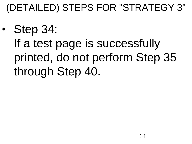• Step 34: If a test page is successfully printed, do not perform Step 35 through Step 40.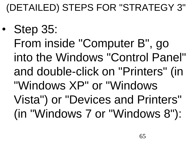• Step 35: From inside "Computer B", go into the Windows "Control Panel" and double-click on "Printers" (in "Windows XP" or "Windows Vista") or "Devices and Printers" (in "Windows 7 or "Windows 8"):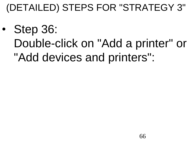• Step 36: Double-click on "Add a printer" or "Add devices and printers":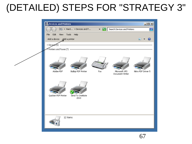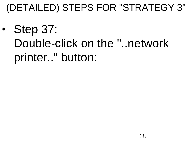Step 37: Double-click on the "..network printer.." button: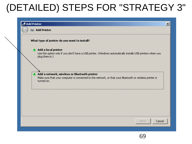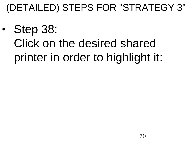Step 38: Click on the desired shared printer in order to highlight it: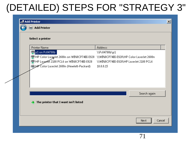#### Add Printer  $\vert x \vert$  $\blacksquare$  Add Printer Select a printer **Printer Name Address**  $\epsilon_{\overline{32}}$  p1 on Ps04790b \\Ps04790b\p1 om WIN8CP74BI-E928 \\WIN8CP74BI-E928\HP Color LaserJet 2600n HP Laser/et 2100 PCL6 on WIN8CP74BI-E928 \\WIN8CP74BI-E928\HP LaserJet 2100 PCL6 HP Color LaserJet 2600n (Hewlett-Packard)  $10.0.0.15$ Search again The printer that I want isn't listed Next Cancel 71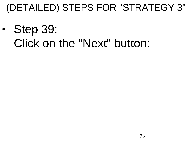• Step 39: Click on the "Next" button: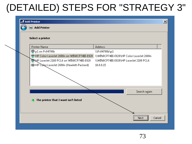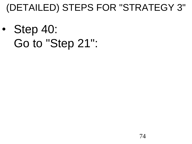• Step 40: Go to "Step 21":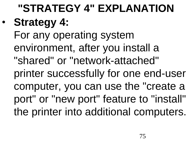**"STRATEGY 4" EXPLANATION**  • **Strategy 4:** For any operating system environment, after you install a "shared" or "network-attached" printer successfully for one end-user computer, you can use the "create a port" or "new port" feature to "install" the printer into additional computers.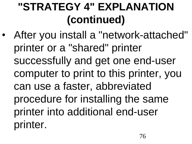• After you install a "network-attached" printer or a "shared" printer successfully and get one end-user computer to print to this printer, you can use a faster, abbreviated procedure for installing the same printer into additional end-user printer.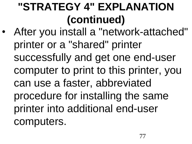• After you install a "network-attached" printer or a "shared" printer successfully and get one end-user computer to print to this printer, you can use a faster, abbreviated procedure for installing the same printer into additional end-user computers.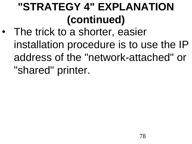The trick to a shorter, easier installation procedure is to use the IP address of the "network-attached" or "shared" printer.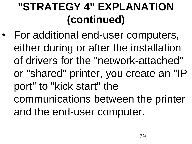• For additional end-user computers, either during or after the installation of drivers for the "network-attached" or "shared" printer, you create an "IP port" to "kick start" the communications between the printer and the end-user computer.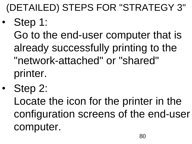- Step 1: Go to the end-user computer that is already successfully printing to the "network-attached" or "shared" printer.
- Step 2: Locate the icon for the printer in the configuration screens of the end-user computer.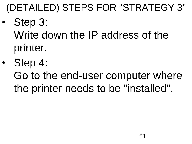- Step 3: Write down the IP address of the printer.
- Step 4: Go to the end-user computer where the printer needs to be "installed".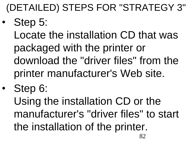Step 5:

Locate the installation CD that was packaged with the printer or download the "driver files" from the printer manufacturer's Web site.

• Step 6: Using the installation CD or the manufacturer's "driver files" to start the installation of the printer.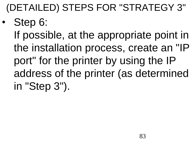• Step 6: If possible, at the appropriate point in the installation process, create an "IP port" for the printer by using the IP address of the printer (as determined in "Step 3").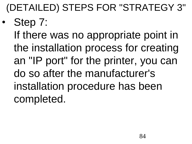Step 7: If there was no appropriate point in the installation process for creating an "IP port" for the printer, you can do so after the manufacturer's installation procedure has been completed.